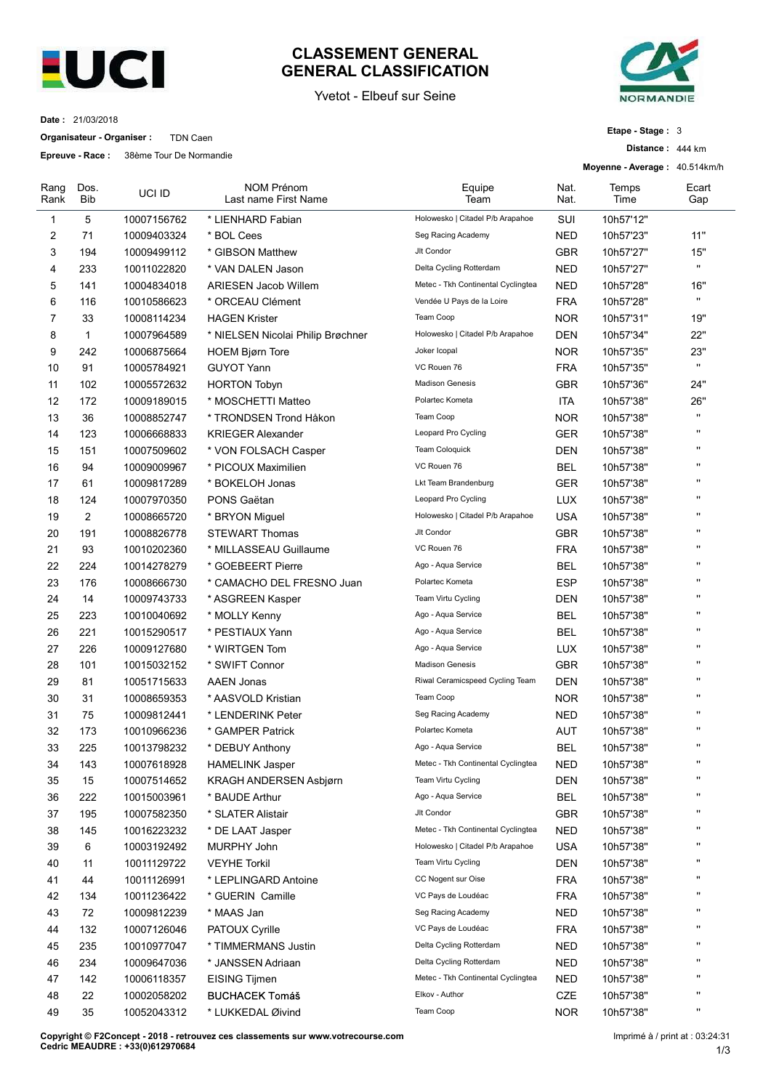

## CLASSEMENT GENERAL<br>GENERAL CLASSIFICATION<br>Yvetot - Elbeuf sur Seine<br>Etape - Stage : 3<br>Distance : 444 km



| Etape - Stage: 3 |  |  |  |
|------------------|--|--|--|
|------------------|--|--|--|

|              | Date: 21/03/2018           | <b>EUCI</b>                             | <b>GENERAL CLASSIFICATION</b><br>Yvetot - Elbeuf sur Seine                       |                                    |                          | <b>NORMANDIE</b>              |                              |
|--------------|----------------------------|-----------------------------------------|----------------------------------------------------------------------------------|------------------------------------|--------------------------|-------------------------------|------------------------------|
|              | Organisateur - Organiser : | TDN Caen                                |                                                                                  |                                    |                          | Etape - Stage: 3              |                              |
|              |                            | Epreuve - Race: 38ème Tour De Normandie |                                                                                  |                                    |                          | Distance: 444 km              |                              |
|              |                            |                                         |                                                                                  |                                    |                          | Moyenne - Average: 40.514km/h |                              |
| Rang<br>Rank | Dos.<br><b>Bib</b>         | UCI ID                                  | <b>NOM Prénom</b><br>Last name First Name                                        | Equipe<br>Team                     | Nat.<br>Nat.             | Temps<br>Time                 | Ecart<br>Gap                 |
| -1           | 5                          | 10007156762                             | * LIENHARD Fabian                                                                | Holowesko   Citadel P/b Arapahoe   | SUI                      | 10h57'12"                     |                              |
| 2            | 71                         | 10009403324                             | * BOL Cees                                                                       | Seg Racing Academy                 | <b>NED</b>               | 10h57'23"                     | 11"                          |
| 3            | 194                        | 10009499112                             | * GIBSON Matthew                                                                 | Jlt Condor                         | <b>GBR</b>               | 10h57'27"                     | 15"                          |
| 4            | 233                        | 10011022820                             | * VAN DALEN Jason                                                                | Delta Cycling Rotterdam            | <b>NED</b>               | 10h57'27"                     | $\mathbf{u}$                 |
| 5            | 141                        | 10004834018                             | <b>ARIESEN Jacob Willem</b>                                                      | Metec - Tkh Continental Cyclingtea | <b>NED</b>               | 10h57'28"                     | 16"                          |
| 6            | 116                        | 10010586623                             | * ORCEAU Clément                                                                 | Vendée U Pays de la Loire          | <b>FRA</b>               | 10h57'28"                     | $\mathbf{u}$                 |
| 7            | 33                         | 10008114234                             | <b>HAGEN Krister</b>                                                             | Team Coop                          | <b>NOR</b>               | 10h57'31"                     | 19"                          |
| 8            | $\overline{1}$             | 10007964589                             | * NIELSEN Nicolai Philip Brøchner                                                | Holowesko   Citadel P/b Arapahoe   | <b>DEN</b>               | 10h57'34"                     | 22"                          |
| 9            | 242<br>91                  | 10006875664<br>10005784921              | <b>HOEM Bjørn Tore</b><br><b>GUYOT Yann</b>                                      | Joker Icopal<br>VC Rouen 76        | <b>NOR</b><br>FRA        | 10h57'35"<br>10h57'35"        | 23"<br>$\mathbf{u}$          |
| 10<br>11     | 102                        | 10005572632                             | <b>HORTON Tobyn</b>                                                              | <b>Madison Genesis</b>             | GBR                      | 10h57'36"                     | 24"                          |
| 12           | 172                        | 10009189015                             | * MOSCHETTI Matteo                                                               | Polartec Kometa                    | <b>ITA</b>               | 10h57'38"                     | 26"                          |
| 13           | 36                         | 10008852747                             | * TRONDSEN Trond Håkon                                                           | Team Coop                          | <b>NOR</b>               | 10h57'38"                     | $\mathbf{u}$                 |
| 14           | 123                        | 10006668833                             | <b>KRIEGER Alexander</b>                                                         | Leopard Pro Cycling                | GER                      | 10h57'38"                     | $\mathbf{u}$                 |
| 15           | 151                        | 10007509602                             | * VON FOLSACH Casper                                                             | Team Coloquick                     | <b>DEN</b>               | 10h57'38"                     | $\mathbf{u}$                 |
| 16           | 94                         | 10009009967                             | * PICOUX Maximilien                                                              | VC Rouen 76                        | <b>BEL</b>               | 10h57'38"                     | $\mathbf{u}$                 |
| 17           | 61                         | 10009817289                             | * BOKELOH Jonas                                                                  | Lkt Team Brandenburg               | <b>GER</b>               | 10h57'38"                     | $\mathbf{u}$                 |
| 18           | 124                        | 10007970350                             | PONS Gaëtan                                                                      | Leopard Pro Cycling                | LUX                      | 10h57'38"                     | $\blacksquare$               |
| 19           | $\overline{2}$             | 10008665720                             | * BRYON Miguel                                                                   | Holowesko   Citadel P/b Arapahoe   | <b>USA</b>               | 10h57'38"                     | $\mathbf{u}$<br>$\mathbf{u}$ |
| 20           | 191                        | 10008826778                             | <b>STEWART Thomas</b>                                                            | Jlt Condor<br>VC Rouen 76          | <b>GBR</b>               | 10h57'38"                     | $\mathbf{u}$                 |
| 21           | 93                         | 10010202360                             | * MILLASSEAU Guillaume                                                           | Ago - Aqua Service                 | FRA                      | 10h57'38"                     | $\mathbf{u}$                 |
| 22<br>23     | 224<br>176                 | 10014278279<br>10008666730              | * GOEBEERT Pierre<br>* CAMACHO DEL FRESNO Juan                                   | Polartec Kometa                    | <b>BEL</b><br>ESP        | 10h57'38"<br>10h57'38"        | $\mathbf{u}$                 |
| 24           | 14                         | 10009743733                             | * ASGREEN Kasper                                                                 | Team Virtu Cycling                 | <b>DEN</b>               | 10h57'38"                     |                              |
| 25           | 223                        | 10010040692                             | * MOLLY Kenny                                                                    | Ago - Aqua Service                 | <b>BEL</b>               | 10h57'38"                     | $\mathbf{u}$                 |
| 26           | 221                        | 10015290517                             | * PESTIAUX Yann                                                                  | Ago - Aqua Service                 | <b>BEL</b>               | 10h57'38"                     | $\mathbf{u}$                 |
| 27           | 226                        | 10009127680                             | * WIRTGEN Tom                                                                    | Ago - Aqua Service                 | LUX                      | 10h57'38"                     | $\mathbf{u}$                 |
| 28           | 101                        | 10015032152                             | * SWIFT Connor                                                                   | <b>Madison Genesis</b>             | GBR                      | 10h57'38"                     | $\mathbf{u}$                 |
| 29           | 81                         | 10051715633                             | <b>AAEN Jonas</b>                                                                | Riwal Ceramicspeed Cycling Team    | <b>DEN</b>               | 10h57'38"                     | $\mathbf{u}$                 |
| 30           | 31                         | 10008659353                             | * AASVOLD Kristian                                                               | Team Coop                          | <b>NOR</b>               | 10h57'38"                     | $\mathbf{u}$                 |
| 31           | 75                         | 10009812441                             | * LENDERINK Peter                                                                | Seg Racing Academy                 | <b>NED</b>               | 10h57'38"                     | $\mathbf{u}$                 |
| 32           | 173                        | 10010966236                             | * GAMPER Patrick                                                                 | Polartec Kometa                    | <b>AUT</b>               | 10h57'38"                     | $\mathbf{u}$                 |
| 33           | 225                        | 10013798232                             | * DEBUY Anthony                                                                  | Ago - Aqua Service                 | <b>BEL</b>               | 10h57'38"                     | $\mathbf{u}$<br>$\mathbf{u}$ |
| 34           | 143                        | 10007618928                             | <b>HAMELINK Jasper</b>                                                           | Metec - Tkh Continental Cyclingtea | <b>NED</b>               | 10h57'38"                     | $\mathbf{u}$                 |
| 35           | 15                         | 10007514652                             | KRAGH ANDERSEN Asbjørn                                                           | Team Virtu Cycling                 | <b>DEN</b>               | 10h57'38"                     | $\mathbf{u}$                 |
| 36           | 222<br>195                 | 10015003961<br>10007582350              | * BAUDE Arthur<br>* SLATER Alistair                                              | Ago - Aqua Service<br>Jlt Condor   | <b>BEL</b><br><b>GBR</b> | 10h57'38"<br>10h57'38"        | $\mathbf{u}$                 |
| 37<br>38     | 145                        | 10016223232                             | * DE LAAT Jasper                                                                 | Metec - Tkh Continental Cyclingtea | <b>NED</b>               | 10h57'38"                     | $\mathbf{u}$                 |
| 39           | 6                          | 10003192492                             | MURPHY John                                                                      | Holowesko   Citadel P/b Arapahoe   | <b>USA</b>               | 10h57'38"                     |                              |
| 40           | 11                         | 10011129722                             | <b>VEYHE Torkil</b>                                                              | Team Virtu Cycling                 | <b>DEN</b>               | 10h57'38"                     |                              |
| 41           | 44                         | 10011126991                             | * LEPLINGARD Antoine                                                             | CC Nogent sur Oise                 | <b>FRA</b>               | 10h57'38"                     |                              |
| 42           | 134                        | 10011236422                             | * GUERIN Camille                                                                 | VC Pays de Loudéac                 | <b>FRA</b>               | 10h57'38"                     | $\mathbf{u}$                 |
| 43           | 72                         | 10009812239                             | * MAAS Jan                                                                       | Seg Racing Academy                 | <b>NED</b>               | 10h57'38"                     | $\mathbf{u}$                 |
| 44           | 132                        | 10007126046                             | PATOUX Cyrille                                                                   | VC Pays de Loudéac                 | <b>FRA</b>               | 10h57'38"                     | $\mathbf{u}$                 |
| 45           | 235                        | 10010977047                             | * TIMMERMANS Justin                                                              | Delta Cycling Rotterdam            | <b>NED</b>               | 10h57'38'                     |                              |
| 46           | 234                        | 10009647036                             | * JANSSEN Adriaan                                                                | Delta Cycling Rotterdam            | <b>NED</b>               | 10h57'38"                     |                              |
| 47           | 142                        | 10006118357                             | EISING Tijmen                                                                    | Metec - Tkh Continental Cyclingtea | <b>NED</b>               | 10h57'38"                     |                              |
| 48           | 22                         | 10002058202                             | <b>BUCHACEK Tomáš</b>                                                            | Elkov - Author                     | $CZE$                    | 10h57'38"                     | $\mathbf{u}$<br>$\mathbf{u}$ |
| 49           | 35                         | 10052043312                             | * LUKKEDAL Øivind                                                                | Team Coop                          | <b>NOR</b>               | 10h57'38"                     |                              |
|              |                            |                                         | Copyright © F2Concept - 2018 - retrouvez ces classements sur www.votrecourse.com |                                    |                          |                               |                              |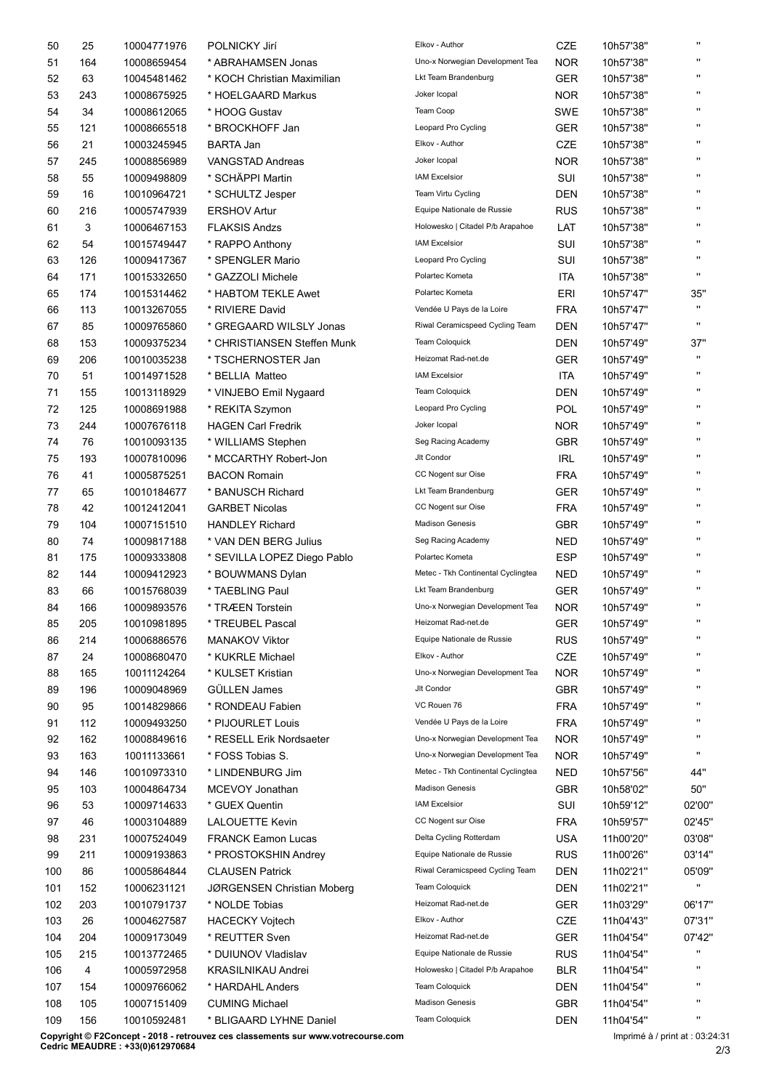| CZE<br>$\mathbf{H}$<br>25<br>10004771976<br>POLNICKY Jirí<br>Elkov - Author<br>10h57'38"<br>50<br>$\mathbf{u}$<br><b>NOR</b><br>Uno-x Norwegian Development Tea<br>51<br>164<br>10008659454<br>* ABRAHAMSEN Jonas<br>10h57'38"<br>$\mathbf{H}$<br>63<br>Lkt Team Brandenburg<br><b>GER</b><br>52<br>10045481462<br>* KOCH Christian Maximilian<br>10h57'38"<br>Joker Icopal<br><b>NOR</b><br>$\mathbf{H}$<br>243<br>10008675925<br>* HOELGAARD Markus<br>10h57'38"<br>53<br>Team Coop<br>$\mathbf{H}$<br>34<br>SWE<br>10h57'38"<br>54<br>10008612065<br>* HOOG Gustav<br>$\mathbf{H}$<br>Leopard Pro Cycling<br><b>GER</b><br>55<br>121<br>10008665518<br>* BROCKHOFF Jan<br>10h57'38"<br>Elkov - Author<br>CZE<br>$\mathbf{H}$<br>56<br>21<br>10003245945<br><b>BARTA Jan</b><br>10h57'38"<br>Joker Icopal<br>245<br>10008856989<br><b>NOR</b><br>10h57'38"<br>$\mathbf{H}$<br>57<br><b>VANGSTAD Andreas</b><br><b>IAM Excelsior</b><br>SUI<br>$\mathbf{H}$<br>55<br>10009498809<br>* SCHÄPPI Martin<br>10h57'38"<br>58<br><b>DEN</b><br>$\mathbf{H}$<br>16<br>Team Virtu Cycling<br>59<br>10010964721<br>* SCHULTZ Jesper<br>10h57'38"<br>$\mathbf{H}$<br>216<br><b>ERSHOV Artur</b><br>Equipe Nationale de Russie<br><b>RUS</b><br>60<br>10005747939<br>10h57'38"<br>3<br>Holowesko   Citadel P/b Arapahoe<br>LAT<br>$\mathbf{H}$<br>10006467153<br><b>FLAKSIS Andzs</b><br>10h57'38"<br>61<br><b>IAM Excelsior</b><br>$\mathbf{H}$<br>54<br>SUI<br>62<br>10015749447<br>* RAPPO Anthony<br>10h57'38"<br>126<br>Leopard Pro Cycling<br>SUI<br>$\mathbf{H}$<br>63<br>10009417367<br>* SPENGLER Mario<br>10h57'38"<br>$\mathbf{u}$<br>Polartec Kometa<br><b>ITA</b><br>10h57'38"<br>64<br>171<br>10015332650<br>* GAZZOLI Michele<br>174<br>Polartec Kometa<br>ERI<br>65<br>10015314462<br>* HABTOM TEKLE Awet<br>10h57'47"<br>35"<br>Vendée U Pays de la Loire<br><b>FRA</b><br>$\mathbf{u}$<br>113<br>* RIVIERE David<br>10h57'47"<br>66<br>10013267055<br><b>DEN</b><br>$\mathbf{H}$<br>85<br>* GREGAARD WILSLY Jonas<br>Riwal Ceramicspeed Cycling Team<br>10h57'47"<br>67<br>10009765860<br><b>DEN</b><br>37"<br>153<br>* CHRISTIANSEN Steffen Munk<br><b>Team Coloquick</b><br>10h57'49"<br>68<br>10009375234<br>$\mathbf{H}$<br>206<br>Heizomat Rad-net.de<br><b>GER</b><br>10h57'49"<br>69<br>10010035238<br>* TSCHERNOSTER Jan<br><b>IAM Excelsior</b><br><b>ITA</b><br>$\mathbf{H}$<br>51<br>10h57'49"<br>70<br>10014971528<br>* BELLIA Matteo<br><b>Team Coloquick</b><br>155<br><b>DEN</b><br>10h57'49"<br>71<br>10013118929<br>* VINJEBO Emil Nygaard<br>Leopard Pro Cycling<br>POL<br>72<br>125<br>10008691988<br>* REKITA Szymon<br>10h57'49"<br>244<br><b>NOR</b><br><b>HAGEN Carl Fredrik</b><br>Joker Icopal<br>10h57'49"<br>73<br>10007676118<br>Seg Racing Academy<br>GBR<br>$\mathbf{H}$<br>76<br>* WILLIAMS Stephen<br>74<br>10010093135<br>10h57'49"<br>193<br>Jlt Condor<br>$\ensuremath{\mathsf{IRL}}\xspace$<br>$\mathbf{H}$<br>75<br>10007810096<br>* MCCARTHY Robert-Jon<br>10h57'49"<br><b>FRA</b><br>$\mathbf{H}$<br>76<br>41<br>CC Nogent sur Oise<br>10005875251<br><b>BACON Romain</b><br>10h57'49"<br>GER<br>$\mathbf{H}$<br>65<br>Lkt Team Brandenburg<br>77<br>10010184677<br>* BANUSCH Richard<br>10h57'49"<br>42<br><b>FRA</b><br>$\mathbf{H}$<br>78<br>CC Nogent sur Oise<br>10h57'49"<br>10012412041<br><b>GARBET Nicolas</b><br>$\mathbf{H}$<br>104<br>10007151510<br><b>Madison Genesis</b><br>GBR<br>10h57'49"<br>79<br><b>HANDLEY Richard</b><br><b>NED</b><br>74<br>10009817188<br>* VAN DEN BERG Julius<br>Seg Racing Academy<br>10h57'49"<br>80<br><b>ESP</b><br>175<br>Polartec Kometa<br>10h57'49"<br>$\mathbf{H}$<br>81<br>10009333808<br>* SEVILLA LOPEZ Diego Pablo<br><b>NED</b><br>$\mathbf{H}$<br>144<br>Metec - Tkh Continental Cyclingtea<br>10h57'49"<br>82<br>10009412923<br>* BOUWMANS Dylan<br>GER<br>66<br>* TAEBLING Paul<br>Lkt Team Brandenburg<br>$\mathbf{H}$<br>83<br>10015768039<br>10h57'49"<br><b>NOR</b><br>$\mathbf{H}$<br>166<br>Uno-x Norwegian Development Tea<br>10h57'49"<br>84<br>10009893576<br>* TRÆEN Torstein<br>GER<br>$\mathbf{H}$<br>205<br>Heizomat Rad-net.de<br>10h57'49"<br>85<br>10010981895<br>* TREUBEL Pascal<br>$\mathbf{H}$<br>214<br>Equipe Nationale de Russie<br><b>RUS</b><br>10h57'49"<br>86<br>10006886576<br><b>MANAKOV Viktor</b><br>CZE<br>$\mathbf{H}$<br>24<br>* KUKRLE Michael<br>Elkov - Author<br>10h57'49"<br>87<br>10008680470<br><b>NOR</b><br>165<br>10011124264<br>* KULSET Kristian<br>Uno-x Norwegian Development Tea<br>10h57'49"<br>88<br>GBR<br>196<br>GÜLLEN James<br>Jlt Condor<br>10h57'49"<br>$\mathbf{H}$<br>89<br>10009048969<br>VC Rouen 76<br><b>FRA</b><br>$\mathbf{H}$<br>95<br>* RONDEAU Fabien<br>90<br>10014829866<br>10h57'49"<br>Vendée U Pays de la Loire<br>$\mathbf{H}$<br>112<br><b>FRA</b><br>91<br>10009493250<br>* PIJOURLET Louis<br>10h57'49"<br><b>NOR</b><br>$\mathbf{u}$<br>162<br>Uno-x Norwegian Development Tea<br>92<br>10008849616<br>* RESELL Erik Nordsaeter<br>10h57'49"<br>$\mathbf{H}$<br>163<br>Uno-x Norwegian Development Tea<br><b>NOR</b><br>93<br>10011133661<br>* FOSS Tobias S.<br>10h57'49"<br>146<br>Metec - Tkh Continental Cyclingtea<br><b>NED</b><br>44"<br>94<br>10010973310<br>* LINDENBURG Jim<br>10h57'56"<br><b>Madison Genesis</b><br><b>GBR</b><br>50"<br>103<br>10004864734<br>MCEVOY Jonathan<br>10h58'02"<br>95<br><b>IAM Excelsior</b><br>SUI<br>53<br>10h59'12"<br>02'00"<br>96<br>10009714633<br>* GUEX Quentin<br><b>FRA</b><br>46<br>CC Nogent sur Oise<br>10h59'57"<br>02'45"<br>97<br>10003104889<br><b>LALOUETTE Kevin</b><br><b>USA</b><br>231<br>Delta Cycling Rotterdam<br>03'08"<br>98<br>10007524049<br><b>FRANCK Eamon Lucas</b><br>11h00'20"<br>211<br>Equipe Nationale de Russie<br><b>RUS</b><br>03'14"<br>99<br>10009193863<br>* PROSTOKSHIN Andrey<br>11h00'26"<br>DEN<br>10005864844<br><b>CLAUSEN Patrick</b><br>Riwal Ceramicspeed Cycling Team<br>11h02'21"<br>05'09"<br>100<br>86<br>$\mathbf{H}$<br>152<br>Team Coloquick<br><b>DEN</b><br>11h02'21"<br>10006231121<br>JØRGENSEN Christian Moberg<br>101<br>Heizomat Rad-net.de<br>GER<br>06'17"<br>102<br>203<br>10010791737<br>* NOLDE Tobias<br>11h03'29"<br>26<br>10004627587<br>Elkov - Author<br>CZE<br>11h04'43"<br>07'31"<br>103<br><b>HACECKY Vojtech</b><br>204<br>10009173049<br>Heizomat Rad-net.de<br>GER<br>07'42"<br>104<br>* REUTTER Sven<br>11h04'54"<br>215<br>Equipe Nationale de Russie<br><b>RUS</b><br>10013772465<br>* DUIUNOV Vladislav<br>11h04'54"<br>105<br>$\mathbf{H}$<br>Holowesko   Citadel P/b Arapahoe<br><b>BLR</b><br>106<br>4<br>10005972958<br>11h04'54"<br><b>KRASILNIKAU Andrei</b><br>Team Coloquick<br>DEN<br>$\mathbf{H}$<br>107<br>154<br>10009766062<br>* HARDAHL Anders<br>11h04'54"<br>$\mathbf{H}$<br><b>Madison Genesis</b><br>GBR<br>105<br>10007151409<br><b>CUMING Michael</b><br>11h04'54"<br>108<br>$\mathbf{H}$<br>Team Coloquick<br><b>DEN</b><br>11h04'54"<br>109<br>156<br>10010592481<br>* BLIGAARD LYHNE Daniel<br>Copyright © F2Concept - 2018 - retrouvez ces classements sur www.votrecourse.com<br>Imprimé à / print at : 03:24:31 | Cedric MEAUDRE: +33(0)612970684<br>2/3 |  |  |  |  |
|------------------------------------------------------------------------------------------------------------------------------------------------------------------------------------------------------------------------------------------------------------------------------------------------------------------------------------------------------------------------------------------------------------------------------------------------------------------------------------------------------------------------------------------------------------------------------------------------------------------------------------------------------------------------------------------------------------------------------------------------------------------------------------------------------------------------------------------------------------------------------------------------------------------------------------------------------------------------------------------------------------------------------------------------------------------------------------------------------------------------------------------------------------------------------------------------------------------------------------------------------------------------------------------------------------------------------------------------------------------------------------------------------------------------------------------------------------------------------------------------------------------------------------------------------------------------------------------------------------------------------------------------------------------------------------------------------------------------------------------------------------------------------------------------------------------------------------------------------------------------------------------------------------------------------------------------------------------------------------------------------------------------------------------------------------------------------------------------------------------------------------------------------------------------------------------------------------------------------------------------------------------------------------------------------------------------------------------------------------------------------------------------------------------------------------------------------------------------------------------------------------------------------------------------------------------------------------------------------------------------------------------------------------------------------------------------------------------------------------------------------------------------------------------------------------------------------------------------------------------------------------------------------------------------------------------------------------------------------------------------------------------------------------------------------------------------------------------------------------------------------------------------------------------------------------------------------------------------------------------------------------------------------------------------------------------------------------------------------------------------------------------------------------------------------------------------------------------------------------------------------------------------------------------------------------------------------------------------------------------------------------------------------------------------------------------------------------------------------------------------------------------------------------------------------------------------------------------------------------------------------------------------------------------------------------------------------------------------------------------------------------------------------------------------------------------------------------------------------------------------------------------------------------------------------------------------------------------------------------------------------------------------------------------------------------------------------------------------------------------------------------------------------------------------------------------------------------------------------------------------------------------------------------------------------------------------------------------------------------------------------------------------------------------------------------------------------------------------------------------------------------------------------------------------------------------------------------------------------------------------------------------------------------------------------------------------------------------------------------------------------------------------------------------------------------------------------------------------------------------------------------------------------------------------------------------------------------------------------------------------------------------------------------------------------------------------------------------------------------------------------------------------------------------------------------------------------------------------------------------------------------------------------------------------------------------------------------------------------------------------------------------------------------------------------------------------------------------------------------------------------------------------------------------------------------------------------------------------------------------------------------------------------------------------------------------------------------------------------------------------------------------------------------------------------------------------------------------------------------------------------------------------------------------------------------------------------------------------------------------------------------------------------------------------------------------------------------------------------------------------------------------------------------------------------------------------------------------------------------------------------------------------------------------------------------------------------------------------------------------------------------------------------------------------------------------------------------------------------------------------------------------------------------------------------------------------------------------------------------------------------------------------------------------------------------------------------------------------------------------------------------------------------------------------------------------------------------------------------------------------------------------------------------------|----------------------------------------|--|--|--|--|
|                                                                                                                                                                                                                                                                                                                                                                                                                                                                                                                                                                                                                                                                                                                                                                                                                                                                                                                                                                                                                                                                                                                                                                                                                                                                                                                                                                                                                                                                                                                                                                                                                                                                                                                                                                                                                                                                                                                                                                                                                                                                                                                                                                                                                                                                                                                                                                                                                                                                                                                                                                                                                                                                                                                                                                                                                                                                                                                                                                                                                                                                                                                                                                                                                                                                                                                                                                                                                                                                                                                                                                                                                                                                                                                                                                                                                                                                                                                                                                                                                                                                                                                                                                                                                                                                                                                                                                                                                                                                                                                                                                                                                                                                                                                                                                                                                                                                                                                                                                                                                                                                                                                                                                                                                                                                                                                                                                                                                                                                                                                                                                                                                                                                                                                                                                                                                                                                                                                                                                                                                                                                                                                                                                                                                                                                                                                                                                                                                                                                                                                                                                                                                                                                                                                                                                                                                                                                                                                                                                                                                                                                                                                                                                  |                                        |  |  |  |  |
|                                                                                                                                                                                                                                                                                                                                                                                                                                                                                                                                                                                                                                                                                                                                                                                                                                                                                                                                                                                                                                                                                                                                                                                                                                                                                                                                                                                                                                                                                                                                                                                                                                                                                                                                                                                                                                                                                                                                                                                                                                                                                                                                                                                                                                                                                                                                                                                                                                                                                                                                                                                                                                                                                                                                                                                                                                                                                                                                                                                                                                                                                                                                                                                                                                                                                                                                                                                                                                                                                                                                                                                                                                                                                                                                                                                                                                                                                                                                                                                                                                                                                                                                                                                                                                                                                                                                                                                                                                                                                                                                                                                                                                                                                                                                                                                                                                                                                                                                                                                                                                                                                                                                                                                                                                                                                                                                                                                                                                                                                                                                                                                                                                                                                                                                                                                                                                                                                                                                                                                                                                                                                                                                                                                                                                                                                                                                                                                                                                                                                                                                                                                                                                                                                                                                                                                                                                                                                                                                                                                                                                                                                                                                                                  |                                        |  |  |  |  |
|                                                                                                                                                                                                                                                                                                                                                                                                                                                                                                                                                                                                                                                                                                                                                                                                                                                                                                                                                                                                                                                                                                                                                                                                                                                                                                                                                                                                                                                                                                                                                                                                                                                                                                                                                                                                                                                                                                                                                                                                                                                                                                                                                                                                                                                                                                                                                                                                                                                                                                                                                                                                                                                                                                                                                                                                                                                                                                                                                                                                                                                                                                                                                                                                                                                                                                                                                                                                                                                                                                                                                                                                                                                                                                                                                                                                                                                                                                                                                                                                                                                                                                                                                                                                                                                                                                                                                                                                                                                                                                                                                                                                                                                                                                                                                                                                                                                                                                                                                                                                                                                                                                                                                                                                                                                                                                                                                                                                                                                                                                                                                                                                                                                                                                                                                                                                                                                                                                                                                                                                                                                                                                                                                                                                                                                                                                                                                                                                                                                                                                                                                                                                                                                                                                                                                                                                                                                                                                                                                                                                                                                                                                                                                                  |                                        |  |  |  |  |
|                                                                                                                                                                                                                                                                                                                                                                                                                                                                                                                                                                                                                                                                                                                                                                                                                                                                                                                                                                                                                                                                                                                                                                                                                                                                                                                                                                                                                                                                                                                                                                                                                                                                                                                                                                                                                                                                                                                                                                                                                                                                                                                                                                                                                                                                                                                                                                                                                                                                                                                                                                                                                                                                                                                                                                                                                                                                                                                                                                                                                                                                                                                                                                                                                                                                                                                                                                                                                                                                                                                                                                                                                                                                                                                                                                                                                                                                                                                                                                                                                                                                                                                                                                                                                                                                                                                                                                                                                                                                                                                                                                                                                                                                                                                                                                                                                                                                                                                                                                                                                                                                                                                                                                                                                                                                                                                                                                                                                                                                                                                                                                                                                                                                                                                                                                                                                                                                                                                                                                                                                                                                                                                                                                                                                                                                                                                                                                                                                                                                                                                                                                                                                                                                                                                                                                                                                                                                                                                                                                                                                                                                                                                                                                  |                                        |  |  |  |  |
|                                                                                                                                                                                                                                                                                                                                                                                                                                                                                                                                                                                                                                                                                                                                                                                                                                                                                                                                                                                                                                                                                                                                                                                                                                                                                                                                                                                                                                                                                                                                                                                                                                                                                                                                                                                                                                                                                                                                                                                                                                                                                                                                                                                                                                                                                                                                                                                                                                                                                                                                                                                                                                                                                                                                                                                                                                                                                                                                                                                                                                                                                                                                                                                                                                                                                                                                                                                                                                                                                                                                                                                                                                                                                                                                                                                                                                                                                                                                                                                                                                                                                                                                                                                                                                                                                                                                                                                                                                                                                                                                                                                                                                                                                                                                                                                                                                                                                                                                                                                                                                                                                                                                                                                                                                                                                                                                                                                                                                                                                                                                                                                                                                                                                                                                                                                                                                                                                                                                                                                                                                                                                                                                                                                                                                                                                                                                                                                                                                                                                                                                                                                                                                                                                                                                                                                                                                                                                                                                                                                                                                                                                                                                                                  |                                        |  |  |  |  |
|                                                                                                                                                                                                                                                                                                                                                                                                                                                                                                                                                                                                                                                                                                                                                                                                                                                                                                                                                                                                                                                                                                                                                                                                                                                                                                                                                                                                                                                                                                                                                                                                                                                                                                                                                                                                                                                                                                                                                                                                                                                                                                                                                                                                                                                                                                                                                                                                                                                                                                                                                                                                                                                                                                                                                                                                                                                                                                                                                                                                                                                                                                                                                                                                                                                                                                                                                                                                                                                                                                                                                                                                                                                                                                                                                                                                                                                                                                                                                                                                                                                                                                                                                                                                                                                                                                                                                                                                                                                                                                                                                                                                                                                                                                                                                                                                                                                                                                                                                                                                                                                                                                                                                                                                                                                                                                                                                                                                                                                                                                                                                                                                                                                                                                                                                                                                                                                                                                                                                                                                                                                                                                                                                                                                                                                                                                                                                                                                                                                                                                                                                                                                                                                                                                                                                                                                                                                                                                                                                                                                                                                                                                                                                                  |                                        |  |  |  |  |
|                                                                                                                                                                                                                                                                                                                                                                                                                                                                                                                                                                                                                                                                                                                                                                                                                                                                                                                                                                                                                                                                                                                                                                                                                                                                                                                                                                                                                                                                                                                                                                                                                                                                                                                                                                                                                                                                                                                                                                                                                                                                                                                                                                                                                                                                                                                                                                                                                                                                                                                                                                                                                                                                                                                                                                                                                                                                                                                                                                                                                                                                                                                                                                                                                                                                                                                                                                                                                                                                                                                                                                                                                                                                                                                                                                                                                                                                                                                                                                                                                                                                                                                                                                                                                                                                                                                                                                                                                                                                                                                                                                                                                                                                                                                                                                                                                                                                                                                                                                                                                                                                                                                                                                                                                                                                                                                                                                                                                                                                                                                                                                                                                                                                                                                                                                                                                                                                                                                                                                                                                                                                                                                                                                                                                                                                                                                                                                                                                                                                                                                                                                                                                                                                                                                                                                                                                                                                                                                                                                                                                                                                                                                                                                  |                                        |  |  |  |  |
|                                                                                                                                                                                                                                                                                                                                                                                                                                                                                                                                                                                                                                                                                                                                                                                                                                                                                                                                                                                                                                                                                                                                                                                                                                                                                                                                                                                                                                                                                                                                                                                                                                                                                                                                                                                                                                                                                                                                                                                                                                                                                                                                                                                                                                                                                                                                                                                                                                                                                                                                                                                                                                                                                                                                                                                                                                                                                                                                                                                                                                                                                                                                                                                                                                                                                                                                                                                                                                                                                                                                                                                                                                                                                                                                                                                                                                                                                                                                                                                                                                                                                                                                                                                                                                                                                                                                                                                                                                                                                                                                                                                                                                                                                                                                                                                                                                                                                                                                                                                                                                                                                                                                                                                                                                                                                                                                                                                                                                                                                                                                                                                                                                                                                                                                                                                                                                                                                                                                                                                                                                                                                                                                                                                                                                                                                                                                                                                                                                                                                                                                                                                                                                                                                                                                                                                                                                                                                                                                                                                                                                                                                                                                                                  |                                        |  |  |  |  |
|                                                                                                                                                                                                                                                                                                                                                                                                                                                                                                                                                                                                                                                                                                                                                                                                                                                                                                                                                                                                                                                                                                                                                                                                                                                                                                                                                                                                                                                                                                                                                                                                                                                                                                                                                                                                                                                                                                                                                                                                                                                                                                                                                                                                                                                                                                                                                                                                                                                                                                                                                                                                                                                                                                                                                                                                                                                                                                                                                                                                                                                                                                                                                                                                                                                                                                                                                                                                                                                                                                                                                                                                                                                                                                                                                                                                                                                                                                                                                                                                                                                                                                                                                                                                                                                                                                                                                                                                                                                                                                                                                                                                                                                                                                                                                                                                                                                                                                                                                                                                                                                                                                                                                                                                                                                                                                                                                                                                                                                                                                                                                                                                                                                                                                                                                                                                                                                                                                                                                                                                                                                                                                                                                                                                                                                                                                                                                                                                                                                                                                                                                                                                                                                                                                                                                                                                                                                                                                                                                                                                                                                                                                                                                                  |                                        |  |  |  |  |
|                                                                                                                                                                                                                                                                                                                                                                                                                                                                                                                                                                                                                                                                                                                                                                                                                                                                                                                                                                                                                                                                                                                                                                                                                                                                                                                                                                                                                                                                                                                                                                                                                                                                                                                                                                                                                                                                                                                                                                                                                                                                                                                                                                                                                                                                                                                                                                                                                                                                                                                                                                                                                                                                                                                                                                                                                                                                                                                                                                                                                                                                                                                                                                                                                                                                                                                                                                                                                                                                                                                                                                                                                                                                                                                                                                                                                                                                                                                                                                                                                                                                                                                                                                                                                                                                                                                                                                                                                                                                                                                                                                                                                                                                                                                                                                                                                                                                                                                                                                                                                                                                                                                                                                                                                                                                                                                                                                                                                                                                                                                                                                                                                                                                                                                                                                                                                                                                                                                                                                                                                                                                                                                                                                                                                                                                                                                                                                                                                                                                                                                                                                                                                                                                                                                                                                                                                                                                                                                                                                                                                                                                                                                                                                  |                                        |  |  |  |  |
|                                                                                                                                                                                                                                                                                                                                                                                                                                                                                                                                                                                                                                                                                                                                                                                                                                                                                                                                                                                                                                                                                                                                                                                                                                                                                                                                                                                                                                                                                                                                                                                                                                                                                                                                                                                                                                                                                                                                                                                                                                                                                                                                                                                                                                                                                                                                                                                                                                                                                                                                                                                                                                                                                                                                                                                                                                                                                                                                                                                                                                                                                                                                                                                                                                                                                                                                                                                                                                                                                                                                                                                                                                                                                                                                                                                                                                                                                                                                                                                                                                                                                                                                                                                                                                                                                                                                                                                                                                                                                                                                                                                                                                                                                                                                                                                                                                                                                                                                                                                                                                                                                                                                                                                                                                                                                                                                                                                                                                                                                                                                                                                                                                                                                                                                                                                                                                                                                                                                                                                                                                                                                                                                                                                                                                                                                                                                                                                                                                                                                                                                                                                                                                                                                                                                                                                                                                                                                                                                                                                                                                                                                                                                                                  |                                        |  |  |  |  |
|                                                                                                                                                                                                                                                                                                                                                                                                                                                                                                                                                                                                                                                                                                                                                                                                                                                                                                                                                                                                                                                                                                                                                                                                                                                                                                                                                                                                                                                                                                                                                                                                                                                                                                                                                                                                                                                                                                                                                                                                                                                                                                                                                                                                                                                                                                                                                                                                                                                                                                                                                                                                                                                                                                                                                                                                                                                                                                                                                                                                                                                                                                                                                                                                                                                                                                                                                                                                                                                                                                                                                                                                                                                                                                                                                                                                                                                                                                                                                                                                                                                                                                                                                                                                                                                                                                                                                                                                                                                                                                                                                                                                                                                                                                                                                                                                                                                                                                                                                                                                                                                                                                                                                                                                                                                                                                                                                                                                                                                                                                                                                                                                                                                                                                                                                                                                                                                                                                                                                                                                                                                                                                                                                                                                                                                                                                                                                                                                                                                                                                                                                                                                                                                                                                                                                                                                                                                                                                                                                                                                                                                                                                                                                                  |                                        |  |  |  |  |
|                                                                                                                                                                                                                                                                                                                                                                                                                                                                                                                                                                                                                                                                                                                                                                                                                                                                                                                                                                                                                                                                                                                                                                                                                                                                                                                                                                                                                                                                                                                                                                                                                                                                                                                                                                                                                                                                                                                                                                                                                                                                                                                                                                                                                                                                                                                                                                                                                                                                                                                                                                                                                                                                                                                                                                                                                                                                                                                                                                                                                                                                                                                                                                                                                                                                                                                                                                                                                                                                                                                                                                                                                                                                                                                                                                                                                                                                                                                                                                                                                                                                                                                                                                                                                                                                                                                                                                                                                                                                                                                                                                                                                                                                                                                                                                                                                                                                                                                                                                                                                                                                                                                                                                                                                                                                                                                                                                                                                                                                                                                                                                                                                                                                                                                                                                                                                                                                                                                                                                                                                                                                                                                                                                                                                                                                                                                                                                                                                                                                                                                                                                                                                                                                                                                                                                                                                                                                                                                                                                                                                                                                                                                                                                  |                                        |  |  |  |  |
|                                                                                                                                                                                                                                                                                                                                                                                                                                                                                                                                                                                                                                                                                                                                                                                                                                                                                                                                                                                                                                                                                                                                                                                                                                                                                                                                                                                                                                                                                                                                                                                                                                                                                                                                                                                                                                                                                                                                                                                                                                                                                                                                                                                                                                                                                                                                                                                                                                                                                                                                                                                                                                                                                                                                                                                                                                                                                                                                                                                                                                                                                                                                                                                                                                                                                                                                                                                                                                                                                                                                                                                                                                                                                                                                                                                                                                                                                                                                                                                                                                                                                                                                                                                                                                                                                                                                                                                                                                                                                                                                                                                                                                                                                                                                                                                                                                                                                                                                                                                                                                                                                                                                                                                                                                                                                                                                                                                                                                                                                                                                                                                                                                                                                                                                                                                                                                                                                                                                                                                                                                                                                                                                                                                                                                                                                                                                                                                                                                                                                                                                                                                                                                                                                                                                                                                                                                                                                                                                                                                                                                                                                                                                                                  |                                        |  |  |  |  |
|                                                                                                                                                                                                                                                                                                                                                                                                                                                                                                                                                                                                                                                                                                                                                                                                                                                                                                                                                                                                                                                                                                                                                                                                                                                                                                                                                                                                                                                                                                                                                                                                                                                                                                                                                                                                                                                                                                                                                                                                                                                                                                                                                                                                                                                                                                                                                                                                                                                                                                                                                                                                                                                                                                                                                                                                                                                                                                                                                                                                                                                                                                                                                                                                                                                                                                                                                                                                                                                                                                                                                                                                                                                                                                                                                                                                                                                                                                                                                                                                                                                                                                                                                                                                                                                                                                                                                                                                                                                                                                                                                                                                                                                                                                                                                                                                                                                                                                                                                                                                                                                                                                                                                                                                                                                                                                                                                                                                                                                                                                                                                                                                                                                                                                                                                                                                                                                                                                                                                                                                                                                                                                                                                                                                                                                                                                                                                                                                                                                                                                                                                                                                                                                                                                                                                                                                                                                                                                                                                                                                                                                                                                                                                                  |                                        |  |  |  |  |
|                                                                                                                                                                                                                                                                                                                                                                                                                                                                                                                                                                                                                                                                                                                                                                                                                                                                                                                                                                                                                                                                                                                                                                                                                                                                                                                                                                                                                                                                                                                                                                                                                                                                                                                                                                                                                                                                                                                                                                                                                                                                                                                                                                                                                                                                                                                                                                                                                                                                                                                                                                                                                                                                                                                                                                                                                                                                                                                                                                                                                                                                                                                                                                                                                                                                                                                                                                                                                                                                                                                                                                                                                                                                                                                                                                                                                                                                                                                                                                                                                                                                                                                                                                                                                                                                                                                                                                                                                                                                                                                                                                                                                                                                                                                                                                                                                                                                                                                                                                                                                                                                                                                                                                                                                                                                                                                                                                                                                                                                                                                                                                                                                                                                                                                                                                                                                                                                                                                                                                                                                                                                                                                                                                                                                                                                                                                                                                                                                                                                                                                                                                                                                                                                                                                                                                                                                                                                                                                                                                                                                                                                                                                                                                  |                                        |  |  |  |  |
|                                                                                                                                                                                                                                                                                                                                                                                                                                                                                                                                                                                                                                                                                                                                                                                                                                                                                                                                                                                                                                                                                                                                                                                                                                                                                                                                                                                                                                                                                                                                                                                                                                                                                                                                                                                                                                                                                                                                                                                                                                                                                                                                                                                                                                                                                                                                                                                                                                                                                                                                                                                                                                                                                                                                                                                                                                                                                                                                                                                                                                                                                                                                                                                                                                                                                                                                                                                                                                                                                                                                                                                                                                                                                                                                                                                                                                                                                                                                                                                                                                                                                                                                                                                                                                                                                                                                                                                                                                                                                                                                                                                                                                                                                                                                                                                                                                                                                                                                                                                                                                                                                                                                                                                                                                                                                                                                                                                                                                                                                                                                                                                                                                                                                                                                                                                                                                                                                                                                                                                                                                                                                                                                                                                                                                                                                                                                                                                                                                                                                                                                                                                                                                                                                                                                                                                                                                                                                                                                                                                                                                                                                                                                                                  |                                        |  |  |  |  |
|                                                                                                                                                                                                                                                                                                                                                                                                                                                                                                                                                                                                                                                                                                                                                                                                                                                                                                                                                                                                                                                                                                                                                                                                                                                                                                                                                                                                                                                                                                                                                                                                                                                                                                                                                                                                                                                                                                                                                                                                                                                                                                                                                                                                                                                                                                                                                                                                                                                                                                                                                                                                                                                                                                                                                                                                                                                                                                                                                                                                                                                                                                                                                                                                                                                                                                                                                                                                                                                                                                                                                                                                                                                                                                                                                                                                                                                                                                                                                                                                                                                                                                                                                                                                                                                                                                                                                                                                                                                                                                                                                                                                                                                                                                                                                                                                                                                                                                                                                                                                                                                                                                                                                                                                                                                                                                                                                                                                                                                                                                                                                                                                                                                                                                                                                                                                                                                                                                                                                                                                                                                                                                                                                                                                                                                                                                                                                                                                                                                                                                                                                                                                                                                                                                                                                                                                                                                                                                                                                                                                                                                                                                                                                                  |                                        |  |  |  |  |
|                                                                                                                                                                                                                                                                                                                                                                                                                                                                                                                                                                                                                                                                                                                                                                                                                                                                                                                                                                                                                                                                                                                                                                                                                                                                                                                                                                                                                                                                                                                                                                                                                                                                                                                                                                                                                                                                                                                                                                                                                                                                                                                                                                                                                                                                                                                                                                                                                                                                                                                                                                                                                                                                                                                                                                                                                                                                                                                                                                                                                                                                                                                                                                                                                                                                                                                                                                                                                                                                                                                                                                                                                                                                                                                                                                                                                                                                                                                                                                                                                                                                                                                                                                                                                                                                                                                                                                                                                                                                                                                                                                                                                                                                                                                                                                                                                                                                                                                                                                                                                                                                                                                                                                                                                                                                                                                                                                                                                                                                                                                                                                                                                                                                                                                                                                                                                                                                                                                                                                                                                                                                                                                                                                                                                                                                                                                                                                                                                                                                                                                                                                                                                                                                                                                                                                                                                                                                                                                                                                                                                                                                                                                                                                  |                                        |  |  |  |  |
|                                                                                                                                                                                                                                                                                                                                                                                                                                                                                                                                                                                                                                                                                                                                                                                                                                                                                                                                                                                                                                                                                                                                                                                                                                                                                                                                                                                                                                                                                                                                                                                                                                                                                                                                                                                                                                                                                                                                                                                                                                                                                                                                                                                                                                                                                                                                                                                                                                                                                                                                                                                                                                                                                                                                                                                                                                                                                                                                                                                                                                                                                                                                                                                                                                                                                                                                                                                                                                                                                                                                                                                                                                                                                                                                                                                                                                                                                                                                                                                                                                                                                                                                                                                                                                                                                                                                                                                                                                                                                                                                                                                                                                                                                                                                                                                                                                                                                                                                                                                                                                                                                                                                                                                                                                                                                                                                                                                                                                                                                                                                                                                                                                                                                                                                                                                                                                                                                                                                                                                                                                                                                                                                                                                                                                                                                                                                                                                                                                                                                                                                                                                                                                                                                                                                                                                                                                                                                                                                                                                                                                                                                                                                                                  |                                        |  |  |  |  |
|                                                                                                                                                                                                                                                                                                                                                                                                                                                                                                                                                                                                                                                                                                                                                                                                                                                                                                                                                                                                                                                                                                                                                                                                                                                                                                                                                                                                                                                                                                                                                                                                                                                                                                                                                                                                                                                                                                                                                                                                                                                                                                                                                                                                                                                                                                                                                                                                                                                                                                                                                                                                                                                                                                                                                                                                                                                                                                                                                                                                                                                                                                                                                                                                                                                                                                                                                                                                                                                                                                                                                                                                                                                                                                                                                                                                                                                                                                                                                                                                                                                                                                                                                                                                                                                                                                                                                                                                                                                                                                                                                                                                                                                                                                                                                                                                                                                                                                                                                                                                                                                                                                                                                                                                                                                                                                                                                                                                                                                                                                                                                                                                                                                                                                                                                                                                                                                                                                                                                                                                                                                                                                                                                                                                                                                                                                                                                                                                                                                                                                                                                                                                                                                                                                                                                                                                                                                                                                                                                                                                                                                                                                                                                                  |                                        |  |  |  |  |
|                                                                                                                                                                                                                                                                                                                                                                                                                                                                                                                                                                                                                                                                                                                                                                                                                                                                                                                                                                                                                                                                                                                                                                                                                                                                                                                                                                                                                                                                                                                                                                                                                                                                                                                                                                                                                                                                                                                                                                                                                                                                                                                                                                                                                                                                                                                                                                                                                                                                                                                                                                                                                                                                                                                                                                                                                                                                                                                                                                                                                                                                                                                                                                                                                                                                                                                                                                                                                                                                                                                                                                                                                                                                                                                                                                                                                                                                                                                                                                                                                                                                                                                                                                                                                                                                                                                                                                                                                                                                                                                                                                                                                                                                                                                                                                                                                                                                                                                                                                                                                                                                                                                                                                                                                                                                                                                                                                                                                                                                                                                                                                                                                                                                                                                                                                                                                                                                                                                                                                                                                                                                                                                                                                                                                                                                                                                                                                                                                                                                                                                                                                                                                                                                                                                                                                                                                                                                                                                                                                                                                                                                                                                                                                  |                                        |  |  |  |  |
|                                                                                                                                                                                                                                                                                                                                                                                                                                                                                                                                                                                                                                                                                                                                                                                                                                                                                                                                                                                                                                                                                                                                                                                                                                                                                                                                                                                                                                                                                                                                                                                                                                                                                                                                                                                                                                                                                                                                                                                                                                                                                                                                                                                                                                                                                                                                                                                                                                                                                                                                                                                                                                                                                                                                                                                                                                                                                                                                                                                                                                                                                                                                                                                                                                                                                                                                                                                                                                                                                                                                                                                                                                                                                                                                                                                                                                                                                                                                                                                                                                                                                                                                                                                                                                                                                                                                                                                                                                                                                                                                                                                                                                                                                                                                                                                                                                                                                                                                                                                                                                                                                                                                                                                                                                                                                                                                                                                                                                                                                                                                                                                                                                                                                                                                                                                                                                                                                                                                                                                                                                                                                                                                                                                                                                                                                                                                                                                                                                                                                                                                                                                                                                                                                                                                                                                                                                                                                                                                                                                                                                                                                                                                                                  |                                        |  |  |  |  |
|                                                                                                                                                                                                                                                                                                                                                                                                                                                                                                                                                                                                                                                                                                                                                                                                                                                                                                                                                                                                                                                                                                                                                                                                                                                                                                                                                                                                                                                                                                                                                                                                                                                                                                                                                                                                                                                                                                                                                                                                                                                                                                                                                                                                                                                                                                                                                                                                                                                                                                                                                                                                                                                                                                                                                                                                                                                                                                                                                                                                                                                                                                                                                                                                                                                                                                                                                                                                                                                                                                                                                                                                                                                                                                                                                                                                                                                                                                                                                                                                                                                                                                                                                                                                                                                                                                                                                                                                                                                                                                                                                                                                                                                                                                                                                                                                                                                                                                                                                                                                                                                                                                                                                                                                                                                                                                                                                                                                                                                                                                                                                                                                                                                                                                                                                                                                                                                                                                                                                                                                                                                                                                                                                                                                                                                                                                                                                                                                                                                                                                                                                                                                                                                                                                                                                                                                                                                                                                                                                                                                                                                                                                                                                                  |                                        |  |  |  |  |
|                                                                                                                                                                                                                                                                                                                                                                                                                                                                                                                                                                                                                                                                                                                                                                                                                                                                                                                                                                                                                                                                                                                                                                                                                                                                                                                                                                                                                                                                                                                                                                                                                                                                                                                                                                                                                                                                                                                                                                                                                                                                                                                                                                                                                                                                                                                                                                                                                                                                                                                                                                                                                                                                                                                                                                                                                                                                                                                                                                                                                                                                                                                                                                                                                                                                                                                                                                                                                                                                                                                                                                                                                                                                                                                                                                                                                                                                                                                                                                                                                                                                                                                                                                                                                                                                                                                                                                                                                                                                                                                                                                                                                                                                                                                                                                                                                                                                                                                                                                                                                                                                                                                                                                                                                                                                                                                                                                                                                                                                                                                                                                                                                                                                                                                                                                                                                                                                                                                                                                                                                                                                                                                                                                                                                                                                                                                                                                                                                                                                                                                                                                                                                                                                                                                                                                                                                                                                                                                                                                                                                                                                                                                                                                  |                                        |  |  |  |  |
|                                                                                                                                                                                                                                                                                                                                                                                                                                                                                                                                                                                                                                                                                                                                                                                                                                                                                                                                                                                                                                                                                                                                                                                                                                                                                                                                                                                                                                                                                                                                                                                                                                                                                                                                                                                                                                                                                                                                                                                                                                                                                                                                                                                                                                                                                                                                                                                                                                                                                                                                                                                                                                                                                                                                                                                                                                                                                                                                                                                                                                                                                                                                                                                                                                                                                                                                                                                                                                                                                                                                                                                                                                                                                                                                                                                                                                                                                                                                                                                                                                                                                                                                                                                                                                                                                                                                                                                                                                                                                                                                                                                                                                                                                                                                                                                                                                                                                                                                                                                                                                                                                                                                                                                                                                                                                                                                                                                                                                                                                                                                                                                                                                                                                                                                                                                                                                                                                                                                                                                                                                                                                                                                                                                                                                                                                                                                                                                                                                                                                                                                                                                                                                                                                                                                                                                                                                                                                                                                                                                                                                                                                                                                                                  |                                        |  |  |  |  |
|                                                                                                                                                                                                                                                                                                                                                                                                                                                                                                                                                                                                                                                                                                                                                                                                                                                                                                                                                                                                                                                                                                                                                                                                                                                                                                                                                                                                                                                                                                                                                                                                                                                                                                                                                                                                                                                                                                                                                                                                                                                                                                                                                                                                                                                                                                                                                                                                                                                                                                                                                                                                                                                                                                                                                                                                                                                                                                                                                                                                                                                                                                                                                                                                                                                                                                                                                                                                                                                                                                                                                                                                                                                                                                                                                                                                                                                                                                                                                                                                                                                                                                                                                                                                                                                                                                                                                                                                                                                                                                                                                                                                                                                                                                                                                                                                                                                                                                                                                                                                                                                                                                                                                                                                                                                                                                                                                                                                                                                                                                                                                                                                                                                                                                                                                                                                                                                                                                                                                                                                                                                                                                                                                                                                                                                                                                                                                                                                                                                                                                                                                                                                                                                                                                                                                                                                                                                                                                                                                                                                                                                                                                                                                                  |                                        |  |  |  |  |
|                                                                                                                                                                                                                                                                                                                                                                                                                                                                                                                                                                                                                                                                                                                                                                                                                                                                                                                                                                                                                                                                                                                                                                                                                                                                                                                                                                                                                                                                                                                                                                                                                                                                                                                                                                                                                                                                                                                                                                                                                                                                                                                                                                                                                                                                                                                                                                                                                                                                                                                                                                                                                                                                                                                                                                                                                                                                                                                                                                                                                                                                                                                                                                                                                                                                                                                                                                                                                                                                                                                                                                                                                                                                                                                                                                                                                                                                                                                                                                                                                                                                                                                                                                                                                                                                                                                                                                                                                                                                                                                                                                                                                                                                                                                                                                                                                                                                                                                                                                                                                                                                                                                                                                                                                                                                                                                                                                                                                                                                                                                                                                                                                                                                                                                                                                                                                                                                                                                                                                                                                                                                                                                                                                                                                                                                                                                                                                                                                                                                                                                                                                                                                                                                                                                                                                                                                                                                                                                                                                                                                                                                                                                                                                  |                                        |  |  |  |  |
|                                                                                                                                                                                                                                                                                                                                                                                                                                                                                                                                                                                                                                                                                                                                                                                                                                                                                                                                                                                                                                                                                                                                                                                                                                                                                                                                                                                                                                                                                                                                                                                                                                                                                                                                                                                                                                                                                                                                                                                                                                                                                                                                                                                                                                                                                                                                                                                                                                                                                                                                                                                                                                                                                                                                                                                                                                                                                                                                                                                                                                                                                                                                                                                                                                                                                                                                                                                                                                                                                                                                                                                                                                                                                                                                                                                                                                                                                                                                                                                                                                                                                                                                                                                                                                                                                                                                                                                                                                                                                                                                                                                                                                                                                                                                                                                                                                                                                                                                                                                                                                                                                                                                                                                                                                                                                                                                                                                                                                                                                                                                                                                                                                                                                                                                                                                                                                                                                                                                                                                                                                                                                                                                                                                                                                                                                                                                                                                                                                                                                                                                                                                                                                                                                                                                                                                                                                                                                                                                                                                                                                                                                                                                                                  |                                        |  |  |  |  |
|                                                                                                                                                                                                                                                                                                                                                                                                                                                                                                                                                                                                                                                                                                                                                                                                                                                                                                                                                                                                                                                                                                                                                                                                                                                                                                                                                                                                                                                                                                                                                                                                                                                                                                                                                                                                                                                                                                                                                                                                                                                                                                                                                                                                                                                                                                                                                                                                                                                                                                                                                                                                                                                                                                                                                                                                                                                                                                                                                                                                                                                                                                                                                                                                                                                                                                                                                                                                                                                                                                                                                                                                                                                                                                                                                                                                                                                                                                                                                                                                                                                                                                                                                                                                                                                                                                                                                                                                                                                                                                                                                                                                                                                                                                                                                                                                                                                                                                                                                                                                                                                                                                                                                                                                                                                                                                                                                                                                                                                                                                                                                                                                                                                                                                                                                                                                                                                                                                                                                                                                                                                                                                                                                                                                                                                                                                                                                                                                                                                                                                                                                                                                                                                                                                                                                                                                                                                                                                                                                                                                                                                                                                                                                                  |                                        |  |  |  |  |
|                                                                                                                                                                                                                                                                                                                                                                                                                                                                                                                                                                                                                                                                                                                                                                                                                                                                                                                                                                                                                                                                                                                                                                                                                                                                                                                                                                                                                                                                                                                                                                                                                                                                                                                                                                                                                                                                                                                                                                                                                                                                                                                                                                                                                                                                                                                                                                                                                                                                                                                                                                                                                                                                                                                                                                                                                                                                                                                                                                                                                                                                                                                                                                                                                                                                                                                                                                                                                                                                                                                                                                                                                                                                                                                                                                                                                                                                                                                                                                                                                                                                                                                                                                                                                                                                                                                                                                                                                                                                                                                                                                                                                                                                                                                                                                                                                                                                                                                                                                                                                                                                                                                                                                                                                                                                                                                                                                                                                                                                                                                                                                                                                                                                                                                                                                                                                                                                                                                                                                                                                                                                                                                                                                                                                                                                                                                                                                                                                                                                                                                                                                                                                                                                                                                                                                                                                                                                                                                                                                                                                                                                                                                                                                  |                                        |  |  |  |  |
|                                                                                                                                                                                                                                                                                                                                                                                                                                                                                                                                                                                                                                                                                                                                                                                                                                                                                                                                                                                                                                                                                                                                                                                                                                                                                                                                                                                                                                                                                                                                                                                                                                                                                                                                                                                                                                                                                                                                                                                                                                                                                                                                                                                                                                                                                                                                                                                                                                                                                                                                                                                                                                                                                                                                                                                                                                                                                                                                                                                                                                                                                                                                                                                                                                                                                                                                                                                                                                                                                                                                                                                                                                                                                                                                                                                                                                                                                                                                                                                                                                                                                                                                                                                                                                                                                                                                                                                                                                                                                                                                                                                                                                                                                                                                                                                                                                                                                                                                                                                                                                                                                                                                                                                                                                                                                                                                                                                                                                                                                                                                                                                                                                                                                                                                                                                                                                                                                                                                                                                                                                                                                                                                                                                                                                                                                                                                                                                                                                                                                                                                                                                                                                                                                                                                                                                                                                                                                                                                                                                                                                                                                                                                                                  |                                        |  |  |  |  |
|                                                                                                                                                                                                                                                                                                                                                                                                                                                                                                                                                                                                                                                                                                                                                                                                                                                                                                                                                                                                                                                                                                                                                                                                                                                                                                                                                                                                                                                                                                                                                                                                                                                                                                                                                                                                                                                                                                                                                                                                                                                                                                                                                                                                                                                                                                                                                                                                                                                                                                                                                                                                                                                                                                                                                                                                                                                                                                                                                                                                                                                                                                                                                                                                                                                                                                                                                                                                                                                                                                                                                                                                                                                                                                                                                                                                                                                                                                                                                                                                                                                                                                                                                                                                                                                                                                                                                                                                                                                                                                                                                                                                                                                                                                                                                                                                                                                                                                                                                                                                                                                                                                                                                                                                                                                                                                                                                                                                                                                                                                                                                                                                                                                                                                                                                                                                                                                                                                                                                                                                                                                                                                                                                                                                                                                                                                                                                                                                                                                                                                                                                                                                                                                                                                                                                                                                                                                                                                                                                                                                                                                                                                                                                                  |                                        |  |  |  |  |
|                                                                                                                                                                                                                                                                                                                                                                                                                                                                                                                                                                                                                                                                                                                                                                                                                                                                                                                                                                                                                                                                                                                                                                                                                                                                                                                                                                                                                                                                                                                                                                                                                                                                                                                                                                                                                                                                                                                                                                                                                                                                                                                                                                                                                                                                                                                                                                                                                                                                                                                                                                                                                                                                                                                                                                                                                                                                                                                                                                                                                                                                                                                                                                                                                                                                                                                                                                                                                                                                                                                                                                                                                                                                                                                                                                                                                                                                                                                                                                                                                                                                                                                                                                                                                                                                                                                                                                                                                                                                                                                                                                                                                                                                                                                                                                                                                                                                                                                                                                                                                                                                                                                                                                                                                                                                                                                                                                                                                                                                                                                                                                                                                                                                                                                                                                                                                                                                                                                                                                                                                                                                                                                                                                                                                                                                                                                                                                                                                                                                                                                                                                                                                                                                                                                                                                                                                                                                                                                                                                                                                                                                                                                                                                  |                                        |  |  |  |  |
|                                                                                                                                                                                                                                                                                                                                                                                                                                                                                                                                                                                                                                                                                                                                                                                                                                                                                                                                                                                                                                                                                                                                                                                                                                                                                                                                                                                                                                                                                                                                                                                                                                                                                                                                                                                                                                                                                                                                                                                                                                                                                                                                                                                                                                                                                                                                                                                                                                                                                                                                                                                                                                                                                                                                                                                                                                                                                                                                                                                                                                                                                                                                                                                                                                                                                                                                                                                                                                                                                                                                                                                                                                                                                                                                                                                                                                                                                                                                                                                                                                                                                                                                                                                                                                                                                                                                                                                                                                                                                                                                                                                                                                                                                                                                                                                                                                                                                                                                                                                                                                                                                                                                                                                                                                                                                                                                                                                                                                                                                                                                                                                                                                                                                                                                                                                                                                                                                                                                                                                                                                                                                                                                                                                                                                                                                                                                                                                                                                                                                                                                                                                                                                                                                                                                                                                                                                                                                                                                                                                                                                                                                                                                                                  |                                        |  |  |  |  |
|                                                                                                                                                                                                                                                                                                                                                                                                                                                                                                                                                                                                                                                                                                                                                                                                                                                                                                                                                                                                                                                                                                                                                                                                                                                                                                                                                                                                                                                                                                                                                                                                                                                                                                                                                                                                                                                                                                                                                                                                                                                                                                                                                                                                                                                                                                                                                                                                                                                                                                                                                                                                                                                                                                                                                                                                                                                                                                                                                                                                                                                                                                                                                                                                                                                                                                                                                                                                                                                                                                                                                                                                                                                                                                                                                                                                                                                                                                                                                                                                                                                                                                                                                                                                                                                                                                                                                                                                                                                                                                                                                                                                                                                                                                                                                                                                                                                                                                                                                                                                                                                                                                                                                                                                                                                                                                                                                                                                                                                                                                                                                                                                                                                                                                                                                                                                                                                                                                                                                                                                                                                                                                                                                                                                                                                                                                                                                                                                                                                                                                                                                                                                                                                                                                                                                                                                                                                                                                                                                                                                                                                                                                                                                                  |                                        |  |  |  |  |
|                                                                                                                                                                                                                                                                                                                                                                                                                                                                                                                                                                                                                                                                                                                                                                                                                                                                                                                                                                                                                                                                                                                                                                                                                                                                                                                                                                                                                                                                                                                                                                                                                                                                                                                                                                                                                                                                                                                                                                                                                                                                                                                                                                                                                                                                                                                                                                                                                                                                                                                                                                                                                                                                                                                                                                                                                                                                                                                                                                                                                                                                                                                                                                                                                                                                                                                                                                                                                                                                                                                                                                                                                                                                                                                                                                                                                                                                                                                                                                                                                                                                                                                                                                                                                                                                                                                                                                                                                                                                                                                                                                                                                                                                                                                                                                                                                                                                                                                                                                                                                                                                                                                                                                                                                                                                                                                                                                                                                                                                                                                                                                                                                                                                                                                                                                                                                                                                                                                                                                                                                                                                                                                                                                                                                                                                                                                                                                                                                                                                                                                                                                                                                                                                                                                                                                                                                                                                                                                                                                                                                                                                                                                                                                  |                                        |  |  |  |  |
|                                                                                                                                                                                                                                                                                                                                                                                                                                                                                                                                                                                                                                                                                                                                                                                                                                                                                                                                                                                                                                                                                                                                                                                                                                                                                                                                                                                                                                                                                                                                                                                                                                                                                                                                                                                                                                                                                                                                                                                                                                                                                                                                                                                                                                                                                                                                                                                                                                                                                                                                                                                                                                                                                                                                                                                                                                                                                                                                                                                                                                                                                                                                                                                                                                                                                                                                                                                                                                                                                                                                                                                                                                                                                                                                                                                                                                                                                                                                                                                                                                                                                                                                                                                                                                                                                                                                                                                                                                                                                                                                                                                                                                                                                                                                                                                                                                                                                                                                                                                                                                                                                                                                                                                                                                                                                                                                                                                                                                                                                                                                                                                                                                                                                                                                                                                                                                                                                                                                                                                                                                                                                                                                                                                                                                                                                                                                                                                                                                                                                                                                                                                                                                                                                                                                                                                                                                                                                                                                                                                                                                                                                                                                                                  |                                        |  |  |  |  |
|                                                                                                                                                                                                                                                                                                                                                                                                                                                                                                                                                                                                                                                                                                                                                                                                                                                                                                                                                                                                                                                                                                                                                                                                                                                                                                                                                                                                                                                                                                                                                                                                                                                                                                                                                                                                                                                                                                                                                                                                                                                                                                                                                                                                                                                                                                                                                                                                                                                                                                                                                                                                                                                                                                                                                                                                                                                                                                                                                                                                                                                                                                                                                                                                                                                                                                                                                                                                                                                                                                                                                                                                                                                                                                                                                                                                                                                                                                                                                                                                                                                                                                                                                                                                                                                                                                                                                                                                                                                                                                                                                                                                                                                                                                                                                                                                                                                                                                                                                                                                                                                                                                                                                                                                                                                                                                                                                                                                                                                                                                                                                                                                                                                                                                                                                                                                                                                                                                                                                                                                                                                                                                                                                                                                                                                                                                                                                                                                                                                                                                                                                                                                                                                                                                                                                                                                                                                                                                                                                                                                                                                                                                                                                                  |                                        |  |  |  |  |
|                                                                                                                                                                                                                                                                                                                                                                                                                                                                                                                                                                                                                                                                                                                                                                                                                                                                                                                                                                                                                                                                                                                                                                                                                                                                                                                                                                                                                                                                                                                                                                                                                                                                                                                                                                                                                                                                                                                                                                                                                                                                                                                                                                                                                                                                                                                                                                                                                                                                                                                                                                                                                                                                                                                                                                                                                                                                                                                                                                                                                                                                                                                                                                                                                                                                                                                                                                                                                                                                                                                                                                                                                                                                                                                                                                                                                                                                                                                                                                                                                                                                                                                                                                                                                                                                                                                                                                                                                                                                                                                                                                                                                                                                                                                                                                                                                                                                                                                                                                                                                                                                                                                                                                                                                                                                                                                                                                                                                                                                                                                                                                                                                                                                                                                                                                                                                                                                                                                                                                                                                                                                                                                                                                                                                                                                                                                                                                                                                                                                                                                                                                                                                                                                                                                                                                                                                                                                                                                                                                                                                                                                                                                                                                  |                                        |  |  |  |  |
|                                                                                                                                                                                                                                                                                                                                                                                                                                                                                                                                                                                                                                                                                                                                                                                                                                                                                                                                                                                                                                                                                                                                                                                                                                                                                                                                                                                                                                                                                                                                                                                                                                                                                                                                                                                                                                                                                                                                                                                                                                                                                                                                                                                                                                                                                                                                                                                                                                                                                                                                                                                                                                                                                                                                                                                                                                                                                                                                                                                                                                                                                                                                                                                                                                                                                                                                                                                                                                                                                                                                                                                                                                                                                                                                                                                                                                                                                                                                                                                                                                                                                                                                                                                                                                                                                                                                                                                                                                                                                                                                                                                                                                                                                                                                                                                                                                                                                                                                                                                                                                                                                                                                                                                                                                                                                                                                                                                                                                                                                                                                                                                                                                                                                                                                                                                                                                                                                                                                                                                                                                                                                                                                                                                                                                                                                                                                                                                                                                                                                                                                                                                                                                                                                                                                                                                                                                                                                                                                                                                                                                                                                                                                                                  |                                        |  |  |  |  |
|                                                                                                                                                                                                                                                                                                                                                                                                                                                                                                                                                                                                                                                                                                                                                                                                                                                                                                                                                                                                                                                                                                                                                                                                                                                                                                                                                                                                                                                                                                                                                                                                                                                                                                                                                                                                                                                                                                                                                                                                                                                                                                                                                                                                                                                                                                                                                                                                                                                                                                                                                                                                                                                                                                                                                                                                                                                                                                                                                                                                                                                                                                                                                                                                                                                                                                                                                                                                                                                                                                                                                                                                                                                                                                                                                                                                                                                                                                                                                                                                                                                                                                                                                                                                                                                                                                                                                                                                                                                                                                                                                                                                                                                                                                                                                                                                                                                                                                                                                                                                                                                                                                                                                                                                                                                                                                                                                                                                                                                                                                                                                                                                                                                                                                                                                                                                                                                                                                                                                                                                                                                                                                                                                                                                                                                                                                                                                                                                                                                                                                                                                                                                                                                                                                                                                                                                                                                                                                                                                                                                                                                                                                                                                                  |                                        |  |  |  |  |
|                                                                                                                                                                                                                                                                                                                                                                                                                                                                                                                                                                                                                                                                                                                                                                                                                                                                                                                                                                                                                                                                                                                                                                                                                                                                                                                                                                                                                                                                                                                                                                                                                                                                                                                                                                                                                                                                                                                                                                                                                                                                                                                                                                                                                                                                                                                                                                                                                                                                                                                                                                                                                                                                                                                                                                                                                                                                                                                                                                                                                                                                                                                                                                                                                                                                                                                                                                                                                                                                                                                                                                                                                                                                                                                                                                                                                                                                                                                                                                                                                                                                                                                                                                                                                                                                                                                                                                                                                                                                                                                                                                                                                                                                                                                                                                                                                                                                                                                                                                                                                                                                                                                                                                                                                                                                                                                                                                                                                                                                                                                                                                                                                                                                                                                                                                                                                                                                                                                                                                                                                                                                                                                                                                                                                                                                                                                                                                                                                                                                                                                                                                                                                                                                                                                                                                                                                                                                                                                                                                                                                                                                                                                                                                  |                                        |  |  |  |  |
|                                                                                                                                                                                                                                                                                                                                                                                                                                                                                                                                                                                                                                                                                                                                                                                                                                                                                                                                                                                                                                                                                                                                                                                                                                                                                                                                                                                                                                                                                                                                                                                                                                                                                                                                                                                                                                                                                                                                                                                                                                                                                                                                                                                                                                                                                                                                                                                                                                                                                                                                                                                                                                                                                                                                                                                                                                                                                                                                                                                                                                                                                                                                                                                                                                                                                                                                                                                                                                                                                                                                                                                                                                                                                                                                                                                                                                                                                                                                                                                                                                                                                                                                                                                                                                                                                                                                                                                                                                                                                                                                                                                                                                                                                                                                                                                                                                                                                                                                                                                                                                                                                                                                                                                                                                                                                                                                                                                                                                                                                                                                                                                                                                                                                                                                                                                                                                                                                                                                                                                                                                                                                                                                                                                                                                                                                                                                                                                                                                                                                                                                                                                                                                                                                                                                                                                                                                                                                                                                                                                                                                                                                                                                                                  |                                        |  |  |  |  |
|                                                                                                                                                                                                                                                                                                                                                                                                                                                                                                                                                                                                                                                                                                                                                                                                                                                                                                                                                                                                                                                                                                                                                                                                                                                                                                                                                                                                                                                                                                                                                                                                                                                                                                                                                                                                                                                                                                                                                                                                                                                                                                                                                                                                                                                                                                                                                                                                                                                                                                                                                                                                                                                                                                                                                                                                                                                                                                                                                                                                                                                                                                                                                                                                                                                                                                                                                                                                                                                                                                                                                                                                                                                                                                                                                                                                                                                                                                                                                                                                                                                                                                                                                                                                                                                                                                                                                                                                                                                                                                                                                                                                                                                                                                                                                                                                                                                                                                                                                                                                                                                                                                                                                                                                                                                                                                                                                                                                                                                                                                                                                                                                                                                                                                                                                                                                                                                                                                                                                                                                                                                                                                                                                                                                                                                                                                                                                                                                                                                                                                                                                                                                                                                                                                                                                                                                                                                                                                                                                                                                                                                                                                                                                                  |                                        |  |  |  |  |
|                                                                                                                                                                                                                                                                                                                                                                                                                                                                                                                                                                                                                                                                                                                                                                                                                                                                                                                                                                                                                                                                                                                                                                                                                                                                                                                                                                                                                                                                                                                                                                                                                                                                                                                                                                                                                                                                                                                                                                                                                                                                                                                                                                                                                                                                                                                                                                                                                                                                                                                                                                                                                                                                                                                                                                                                                                                                                                                                                                                                                                                                                                                                                                                                                                                                                                                                                                                                                                                                                                                                                                                                                                                                                                                                                                                                                                                                                                                                                                                                                                                                                                                                                                                                                                                                                                                                                                                                                                                                                                                                                                                                                                                                                                                                                                                                                                                                                                                                                                                                                                                                                                                                                                                                                                                                                                                                                                                                                                                                                                                                                                                                                                                                                                                                                                                                                                                                                                                                                                                                                                                                                                                                                                                                                                                                                                                                                                                                                                                                                                                                                                                                                                                                                                                                                                                                                                                                                                                                                                                                                                                                                                                                                                  |                                        |  |  |  |  |
|                                                                                                                                                                                                                                                                                                                                                                                                                                                                                                                                                                                                                                                                                                                                                                                                                                                                                                                                                                                                                                                                                                                                                                                                                                                                                                                                                                                                                                                                                                                                                                                                                                                                                                                                                                                                                                                                                                                                                                                                                                                                                                                                                                                                                                                                                                                                                                                                                                                                                                                                                                                                                                                                                                                                                                                                                                                                                                                                                                                                                                                                                                                                                                                                                                                                                                                                                                                                                                                                                                                                                                                                                                                                                                                                                                                                                                                                                                                                                                                                                                                                                                                                                                                                                                                                                                                                                                                                                                                                                                                                                                                                                                                                                                                                                                                                                                                                                                                                                                                                                                                                                                                                                                                                                                                                                                                                                                                                                                                                                                                                                                                                                                                                                                                                                                                                                                                                                                                                                                                                                                                                                                                                                                                                                                                                                                                                                                                                                                                                                                                                                                                                                                                                                                                                                                                                                                                                                                                                                                                                                                                                                                                                                                  |                                        |  |  |  |  |
|                                                                                                                                                                                                                                                                                                                                                                                                                                                                                                                                                                                                                                                                                                                                                                                                                                                                                                                                                                                                                                                                                                                                                                                                                                                                                                                                                                                                                                                                                                                                                                                                                                                                                                                                                                                                                                                                                                                                                                                                                                                                                                                                                                                                                                                                                                                                                                                                                                                                                                                                                                                                                                                                                                                                                                                                                                                                                                                                                                                                                                                                                                                                                                                                                                                                                                                                                                                                                                                                                                                                                                                                                                                                                                                                                                                                                                                                                                                                                                                                                                                                                                                                                                                                                                                                                                                                                                                                                                                                                                                                                                                                                                                                                                                                                                                                                                                                                                                                                                                                                                                                                                                                                                                                                                                                                                                                                                                                                                                                                                                                                                                                                                                                                                                                                                                                                                                                                                                                                                                                                                                                                                                                                                                                                                                                                                                                                                                                                                                                                                                                                                                                                                                                                                                                                                                                                                                                                                                                                                                                                                                                                                                                                                  |                                        |  |  |  |  |
|                                                                                                                                                                                                                                                                                                                                                                                                                                                                                                                                                                                                                                                                                                                                                                                                                                                                                                                                                                                                                                                                                                                                                                                                                                                                                                                                                                                                                                                                                                                                                                                                                                                                                                                                                                                                                                                                                                                                                                                                                                                                                                                                                                                                                                                                                                                                                                                                                                                                                                                                                                                                                                                                                                                                                                                                                                                                                                                                                                                                                                                                                                                                                                                                                                                                                                                                                                                                                                                                                                                                                                                                                                                                                                                                                                                                                                                                                                                                                                                                                                                                                                                                                                                                                                                                                                                                                                                                                                                                                                                                                                                                                                                                                                                                                                                                                                                                                                                                                                                                                                                                                                                                                                                                                                                                                                                                                                                                                                                                                                                                                                                                                                                                                                                                                                                                                                                                                                                                                                                                                                                                                                                                                                                                                                                                                                                                                                                                                                                                                                                                                                                                                                                                                                                                                                                                                                                                                                                                                                                                                                                                                                                                                                  |                                        |  |  |  |  |
|                                                                                                                                                                                                                                                                                                                                                                                                                                                                                                                                                                                                                                                                                                                                                                                                                                                                                                                                                                                                                                                                                                                                                                                                                                                                                                                                                                                                                                                                                                                                                                                                                                                                                                                                                                                                                                                                                                                                                                                                                                                                                                                                                                                                                                                                                                                                                                                                                                                                                                                                                                                                                                                                                                                                                                                                                                                                                                                                                                                                                                                                                                                                                                                                                                                                                                                                                                                                                                                                                                                                                                                                                                                                                                                                                                                                                                                                                                                                                                                                                                                                                                                                                                                                                                                                                                                                                                                                                                                                                                                                                                                                                                                                                                                                                                                                                                                                                                                                                                                                                                                                                                                                                                                                                                                                                                                                                                                                                                                                                                                                                                                                                                                                                                                                                                                                                                                                                                                                                                                                                                                                                                                                                                                                                                                                                                                                                                                                                                                                                                                                                                                                                                                                                                                                                                                                                                                                                                                                                                                                                                                                                                                                                                  |                                        |  |  |  |  |
|                                                                                                                                                                                                                                                                                                                                                                                                                                                                                                                                                                                                                                                                                                                                                                                                                                                                                                                                                                                                                                                                                                                                                                                                                                                                                                                                                                                                                                                                                                                                                                                                                                                                                                                                                                                                                                                                                                                                                                                                                                                                                                                                                                                                                                                                                                                                                                                                                                                                                                                                                                                                                                                                                                                                                                                                                                                                                                                                                                                                                                                                                                                                                                                                                                                                                                                                                                                                                                                                                                                                                                                                                                                                                                                                                                                                                                                                                                                                                                                                                                                                                                                                                                                                                                                                                                                                                                                                                                                                                                                                                                                                                                                                                                                                                                                                                                                                                                                                                                                                                                                                                                                                                                                                                                                                                                                                                                                                                                                                                                                                                                                                                                                                                                                                                                                                                                                                                                                                                                                                                                                                                                                                                                                                                                                                                                                                                                                                                                                                                                                                                                                                                                                                                                                                                                                                                                                                                                                                                                                                                                                                                                                                                                  |                                        |  |  |  |  |
|                                                                                                                                                                                                                                                                                                                                                                                                                                                                                                                                                                                                                                                                                                                                                                                                                                                                                                                                                                                                                                                                                                                                                                                                                                                                                                                                                                                                                                                                                                                                                                                                                                                                                                                                                                                                                                                                                                                                                                                                                                                                                                                                                                                                                                                                                                                                                                                                                                                                                                                                                                                                                                                                                                                                                                                                                                                                                                                                                                                                                                                                                                                                                                                                                                                                                                                                                                                                                                                                                                                                                                                                                                                                                                                                                                                                                                                                                                                                                                                                                                                                                                                                                                                                                                                                                                                                                                                                                                                                                                                                                                                                                                                                                                                                                                                                                                                                                                                                                                                                                                                                                                                                                                                                                                                                                                                                                                                                                                                                                                                                                                                                                                                                                                                                                                                                                                                                                                                                                                                                                                                                                                                                                                                                                                                                                                                                                                                                                                                                                                                                                                                                                                                                                                                                                                                                                                                                                                                                                                                                                                                                                                                                                                  |                                        |  |  |  |  |
|                                                                                                                                                                                                                                                                                                                                                                                                                                                                                                                                                                                                                                                                                                                                                                                                                                                                                                                                                                                                                                                                                                                                                                                                                                                                                                                                                                                                                                                                                                                                                                                                                                                                                                                                                                                                                                                                                                                                                                                                                                                                                                                                                                                                                                                                                                                                                                                                                                                                                                                                                                                                                                                                                                                                                                                                                                                                                                                                                                                                                                                                                                                                                                                                                                                                                                                                                                                                                                                                                                                                                                                                                                                                                                                                                                                                                                                                                                                                                                                                                                                                                                                                                                                                                                                                                                                                                                                                                                                                                                                                                                                                                                                                                                                                                                                                                                                                                                                                                                                                                                                                                                                                                                                                                                                                                                                                                                                                                                                                                                                                                                                                                                                                                                                                                                                                                                                                                                                                                                                                                                                                                                                                                                                                                                                                                                                                                                                                                                                                                                                                                                                                                                                                                                                                                                                                                                                                                                                                                                                                                                                                                                                                                                  |                                        |  |  |  |  |
|                                                                                                                                                                                                                                                                                                                                                                                                                                                                                                                                                                                                                                                                                                                                                                                                                                                                                                                                                                                                                                                                                                                                                                                                                                                                                                                                                                                                                                                                                                                                                                                                                                                                                                                                                                                                                                                                                                                                                                                                                                                                                                                                                                                                                                                                                                                                                                                                                                                                                                                                                                                                                                                                                                                                                                                                                                                                                                                                                                                                                                                                                                                                                                                                                                                                                                                                                                                                                                                                                                                                                                                                                                                                                                                                                                                                                                                                                                                                                                                                                                                                                                                                                                                                                                                                                                                                                                                                                                                                                                                                                                                                                                                                                                                                                                                                                                                                                                                                                                                                                                                                                                                                                                                                                                                                                                                                                                                                                                                                                                                                                                                                                                                                                                                                                                                                                                                                                                                                                                                                                                                                                                                                                                                                                                                                                                                                                                                                                                                                                                                                                                                                                                                                                                                                                                                                                                                                                                                                                                                                                                                                                                                                                                  |                                        |  |  |  |  |